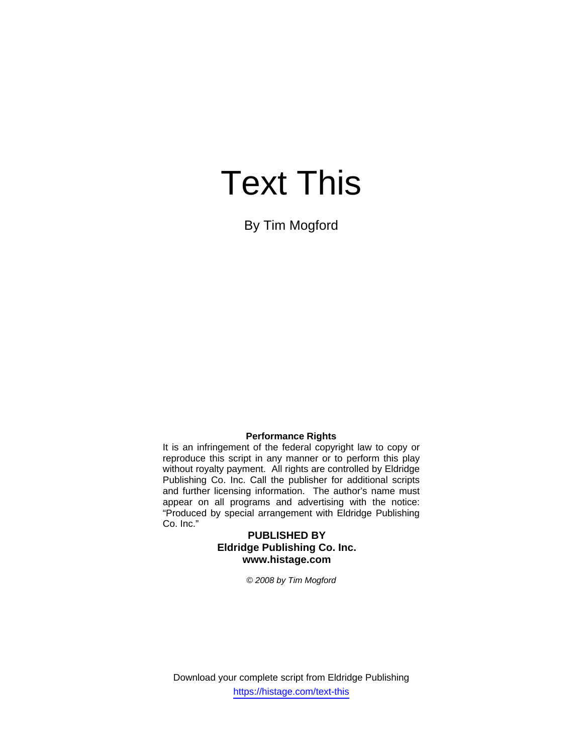# Text This

By Tim Mogford

### **Performance Rights**

It is an infringement of the federal copyright law to copy or reproduce this script in any manner or to perform this play without royalty payment. All rights are controlled by Eldridge Publishing Co. Inc. Call the publisher for additional scripts and further licensing information. The author's name must appear on all programs and advertising with the notice: "Produced by special arrangement with Eldridge Publishing Co. Inc."

## **PUBLISHED BY Eldridge Publishing Co. Inc. www.histage.com**

*© 2008 by Tim Mogford* 

Download your complete script from Eldridge Publishing https://histage.com/text-this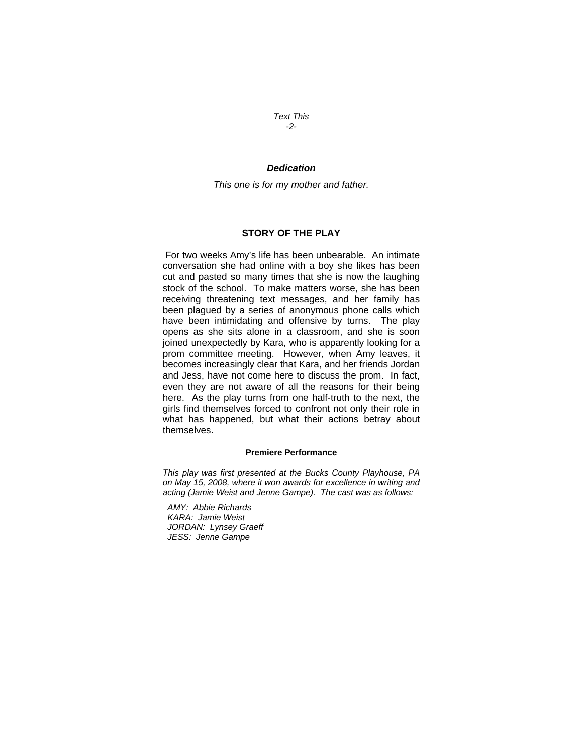*Text This -2-* 

### *Dedication*

*This one is for my mother and father.* 

## **STORY OF THE PLAY**

 For two weeks Amy's life has been unbearable. An intimate conversation she had online with a boy she likes has been cut and pasted so many times that she is now the laughing stock of the school. To make matters worse, she has been receiving threatening text messages, and her family has been plagued by a series of anonymous phone calls which have been intimidating and offensive by turns. The play opens as she sits alone in a classroom, and she is soon joined unexpectedly by Kara, who is apparently looking for a prom committee meeting. However, when Amy leaves, it becomes increasingly clear that Kara, and her friends Jordan and Jess, have not come here to discuss the prom. In fact, even they are not aware of all the reasons for their being here. As the play turns from one half-truth to the next, the girls find themselves forced to confront not only their role in what has happened, but what their actions betray about themselves.

#### **Premiere Performance**

*This play was first presented at the Bucks County Playhouse, PA on May 15, 2008, where it won awards for excellence in writing and acting (Jamie Weist and Jenne Gampe). The cast was as follows:* 

 *AMY: Abbie Richards KARA: Jamie Weist JORDAN: Lynsey Graeff JESS: Jenne Gampe*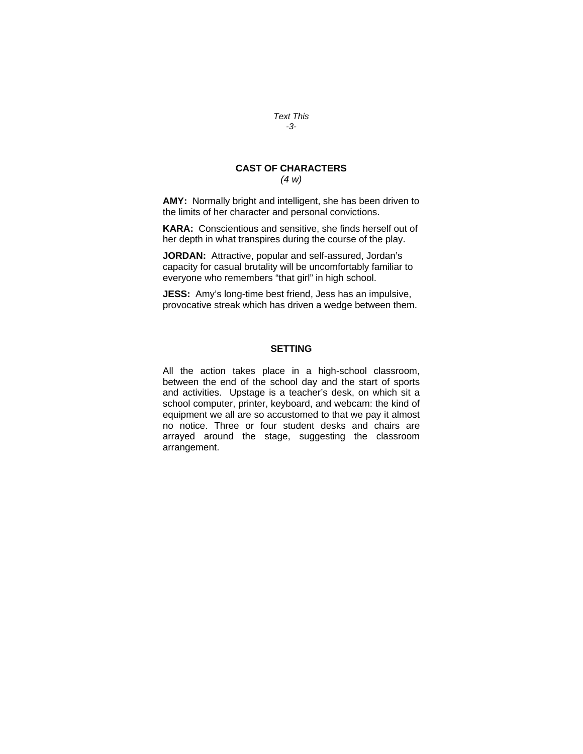#### *Text This -3-*

## **CAST OF CHARACTERS**  *(4 w)*

**AMY:** Normally bright and intelligent, she has been driven to the limits of her character and personal convictions.

**KARA:** Conscientious and sensitive, she finds herself out of her depth in what transpires during the course of the play.

**JORDAN:** Attractive, popular and self-assured, Jordan's capacity for casual brutality will be uncomfortably familiar to everyone who remembers "that girl" in high school.

**JESS:** Amy's long-time best friend, Jess has an impulsive, provocative streak which has driven a wedge between them.

## **SETTING**

All the action takes place in a high-school classroom, between the end of the school day and the start of sports and activities. Upstage is a teacher's desk, on which sit a school computer, printer, keyboard, and webcam: the kind of equipment we all are so accustomed to that we pay it almost no notice. Three or four student desks and chairs are arrayed around the stage, suggesting the classroom arrangement.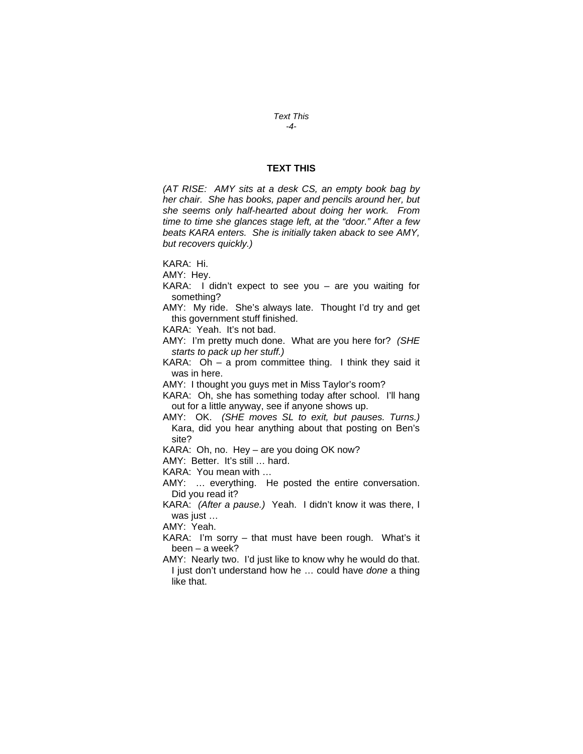#### *Text This -4-*

#### **TEXT THIS**

*(AT RISE: AMY sits at a desk CS, an empty book bag by her chair. She has books, paper and pencils around her, but she seems only half-hearted about doing her work. From time to time she glances stage left, at the "door." After a few beats KARA enters. She is initially taken aback to see AMY, but recovers quickly.)* 

KARA: Hi.

AMY: Hey.

KARA: I didn't expect to see you – are you waiting for something?

AMY: My ride. She's always late. Thought I'd try and get this government stuff finished.

KARA: Yeah. It's not bad.

AMY: I'm pretty much done. What are you here for? *(SHE starts to pack up her stuff.)*

KARA: Oh – a prom committee thing. I think they said it was in here.

AMY: I thought you guys met in Miss Taylor's room?

KARA: Oh, she has something today after school. I'll hang out for a little anyway, see if anyone shows up.

AMY: OK. *(SHE moves SL to exit, but pauses. Turns.)*  Kara, did you hear anything about that posting on Ben's site?

KARA: Oh, no. Hey – are you doing OK now?

AMY: Better. It's still … hard.

KARA: You mean with …

AMY: … everything. He posted the entire conversation. Did you read it?

KARA: *(After a pause.)* Yeah. I didn't know it was there, I was just ...

AMY: Yeah.

KARA: I'm sorry – that must have been rough. What's it been – a week?

AMY: Nearly two. I'd just like to know why he would do that. I just don't understand how he … could have *done* a thing like that.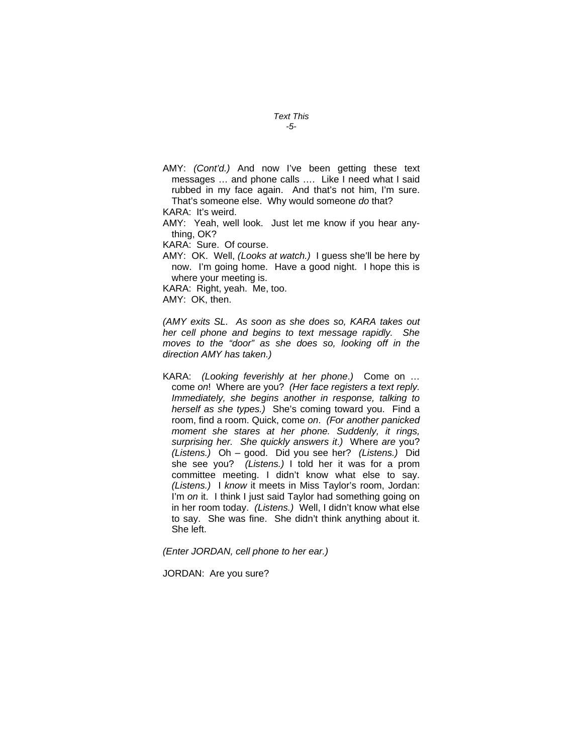- *Text This -5-*
- AMY: *(Cont'd.)* And now I've been getting these text messages … and phone calls …. Like I need what I said rubbed in my face again. And that's not him, I'm sure. That's someone else. Why would someone *do* that?

KARA: It's weird.

AMY: Yeah, well look. Just let me know if you hear anything, OK?

KARA: Sure. Of course.

AMY: OK. Well, *(Looks at watch.)* I guess she'll be here by now. I'm going home. Have a good night. I hope this is where your meeting is.

KARA: Right, yeah. Me, too.

AMY: OK, then.

*(AMY exits SL. As soon as she does so, KARA takes out her cell phone and begins to text message rapidly. She moves to the "door" as she does so, looking off in the direction AMY has taken.)* 

KARA: *(Looking feverishly at her phone*.*)* Come on … come *on*! Where are you? *(Her face registers a text reply. Immediately, she begins another in response, talking to herself as she types.)* She's coming toward you. Find a room, find a room. Quick, come *on*. *(For another panicked moment she stares at her phone. Suddenly, it rings, surprising her. She quickly answers it*.*)* Where *are* you? *(Listens.)* Oh – good. Did you see her? *(Listens.)* Did she see you? *(Listens.)* I told her it was for a prom committee meeting. I didn't know what else to say. *(Listens.)* I *know* it meets in Miss Taylor's room, Jordan: I'm *on* it. I think I just said Taylor had something going on in her room today. *(Listens.)* Well, I didn't know what else to say. She was fine. She didn't think anything about it. She left.

*(Enter JORDAN, cell phone to her ear.)* 

JORDAN: Are you sure?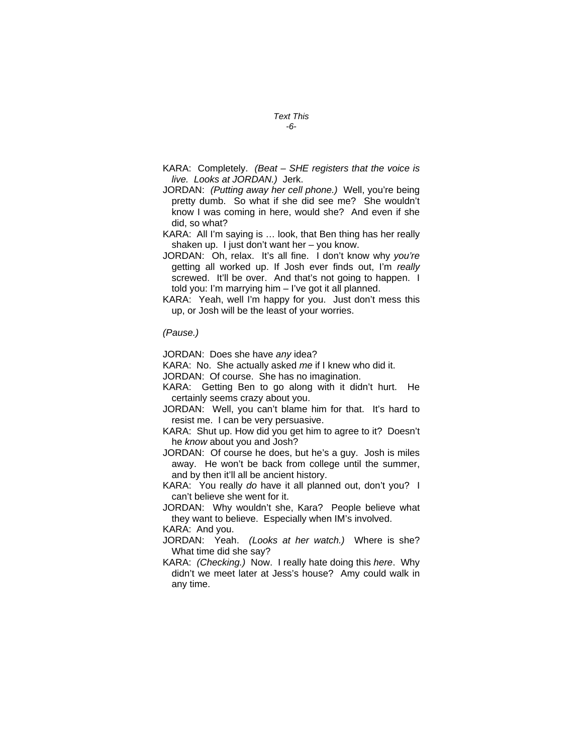- *Text This -6-*
- KARA: Completely. *(Beat SHE registers that the voice is live. Looks at JORDAN.)* Jerk.
- JORDAN: *(Putting away her cell phone.)* Well, you're being pretty dumb. So what if she did see me? She wouldn't know I was coming in here, would she? And even if she did, so what?
- KARA: All I'm saying is … look, that Ben thing has her really shaken up. I just don't want her – you know.
- JORDAN: Oh, relax. It's all fine. I don't know why *you're* getting all worked up. If Josh ever finds out, I'm *really*  screwed. It'll be over. And that's not going to happen. I told you: I'm marrying him – I've got it all planned.
- KARA: Yeah, well I'm happy for you. Just don't mess this up, or Josh will be the least of your worries.

#### *(Pause.)*

JORDAN: Does she have *any* idea?

KARA: No. She actually asked *me* if I knew who did it.

JORDAN: Of course. She has no imagination.

- KARA: Getting Ben to go along with it didn't hurt. He certainly seems crazy about you.
- JORDAN: Well, you can't blame him for that. It's hard to resist me. I can be very persuasive.
- KARA: Shut up. How did you get him to agree to it? Doesn't he *know* about you and Josh?
- JORDAN: Of course he does, but he's a guy. Josh is miles away. He won't be back from college until the summer, and by then it'll all be ancient history.
- KARA: You really *do* have it all planned out, don't you? I can't believe she went for it.
- JORDAN: Why wouldn't she, Kara? People believe what they want to believe. Especially when IM's involved.

KARA: And you.

- JORDAN: Yeah. *(Looks at her watch.)* Where is she? What time did she say?
- KARA: *(Checking.)* Now. I really hate doing this *here*. Why didn't we meet later at Jess's house? Amy could walk in any time.